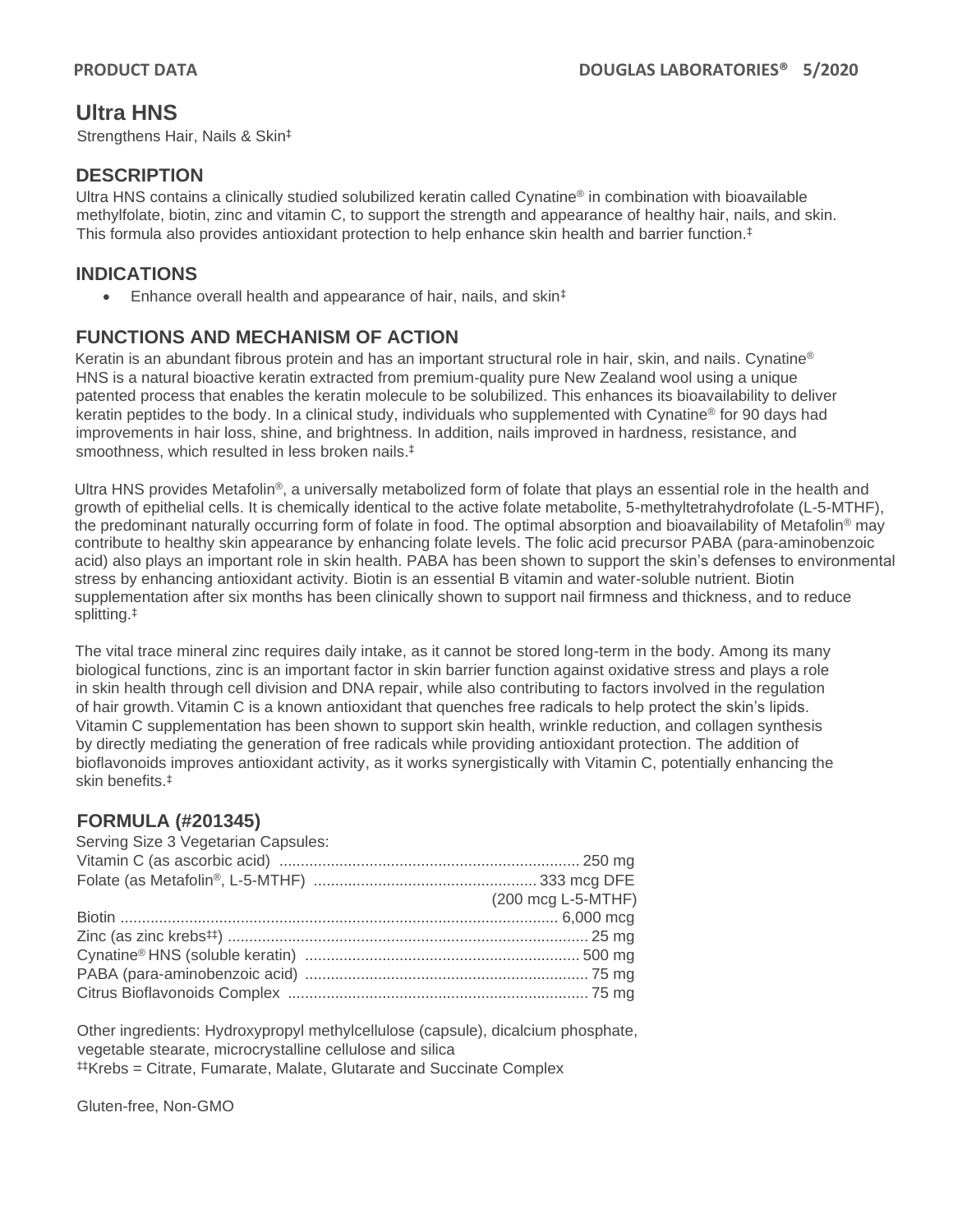# **Ultra HNS**

Strengthens Hair, Nails & Skin‡

#### **DESCRIPTION**

Ultra HNS contains a clinically studied solubilized keratin called Cynatine® in combination with bioavailable methylfolate, biotin, zinc and vitamin C, to support the strength and appearance of healthy hair, nails, and skin. This formula also provides antioxidant protection to help enhance skin health and barrier function. $\ddagger$ 

#### **INDICATIONS**

• Enhance overall health and appearance of hair, nails, and skin<sup>‡</sup>

#### **FUNCTIONS AND MECHANISM OF ACTION**

Keratin is an abundant fibrous protein and has an important structural role in hair, skin, and nails. Cynatine® HNS is a natural bioactive keratin extracted from premium-quality pure New Zealand wool using a unique patented process that enables the keratin molecule to be solubilized. This enhances its bioavailability to deliver keratin peptides to the body. In a clinical study, individuals who supplemented with Cynatine® for 90 days had improvements in hair loss, shine, and brightness. In addition, nails improved in hardness, resistance, and smoothness, which resulted in less broken nails.<sup>‡</sup>

Ultra HNS provides Metafolin®, a universally metabolized form of folate that plays an essential role in the health and growth of epithelial cells. It is chemically identical to the active folate metabolite, 5-methyltetrahydrofolate (L-5-MTHF), the predominant naturally occurring form of folate in food. The optimal absorption and bioavailability of Metafolin® may contribute to healthy skin appearance by enhancing folate levels. The folic acid precursor PABA (para-aminobenzoic acid) also plays an important role in skin health. PABA has been shown to support the skin's defenses to environmental stress by enhancing antioxidant activity. Biotin is an essential B vitamin and water-soluble nutrient. Biotin supplementation after six months has been clinically shown to support nail firmness and thickness, and to reduce splitting.‡

The vital trace mineral zinc requires daily intake, as it cannot be stored long-term in the body. Among its many biological functions, zinc is an important factor in skin barrier function against oxidative stress and plays a role in skin health through cell division and DNA repair, while also contributing to factors involved in the regulation of hair growth. Vitamin C is a known antioxidant that quenches free radicals to help protect the skin's lipids. Vitamin C supplementation has been shown to support skin health, wrinkle reduction, and collagen synthesis by directly mediating the generation of free radicals while providing antioxidant protection. The addition of bioflavonoids improves antioxidant activity, as it works synergistically with Vitamin C, potentially enhancing the skin benefits.‡

#### **FORMULA (#201345)**

| Serving Size 3 Vegetarian Capsules: |                    |
|-------------------------------------|--------------------|
|                                     |                    |
|                                     |                    |
|                                     | (200 mcg L-5-MTHF) |
|                                     |                    |
|                                     |                    |
|                                     |                    |
|                                     |                    |
|                                     |                    |
|                                     |                    |

Other ingredients: Hydroxypropyl methylcellulose (capsule), dicalcium phosphate, vegetable stearate, microcrystalline cellulose and silica ‡‡Krebs = Citrate, Fumarate, Malate, Glutarate and Succinate Complex

Gluten-free, Non-GMO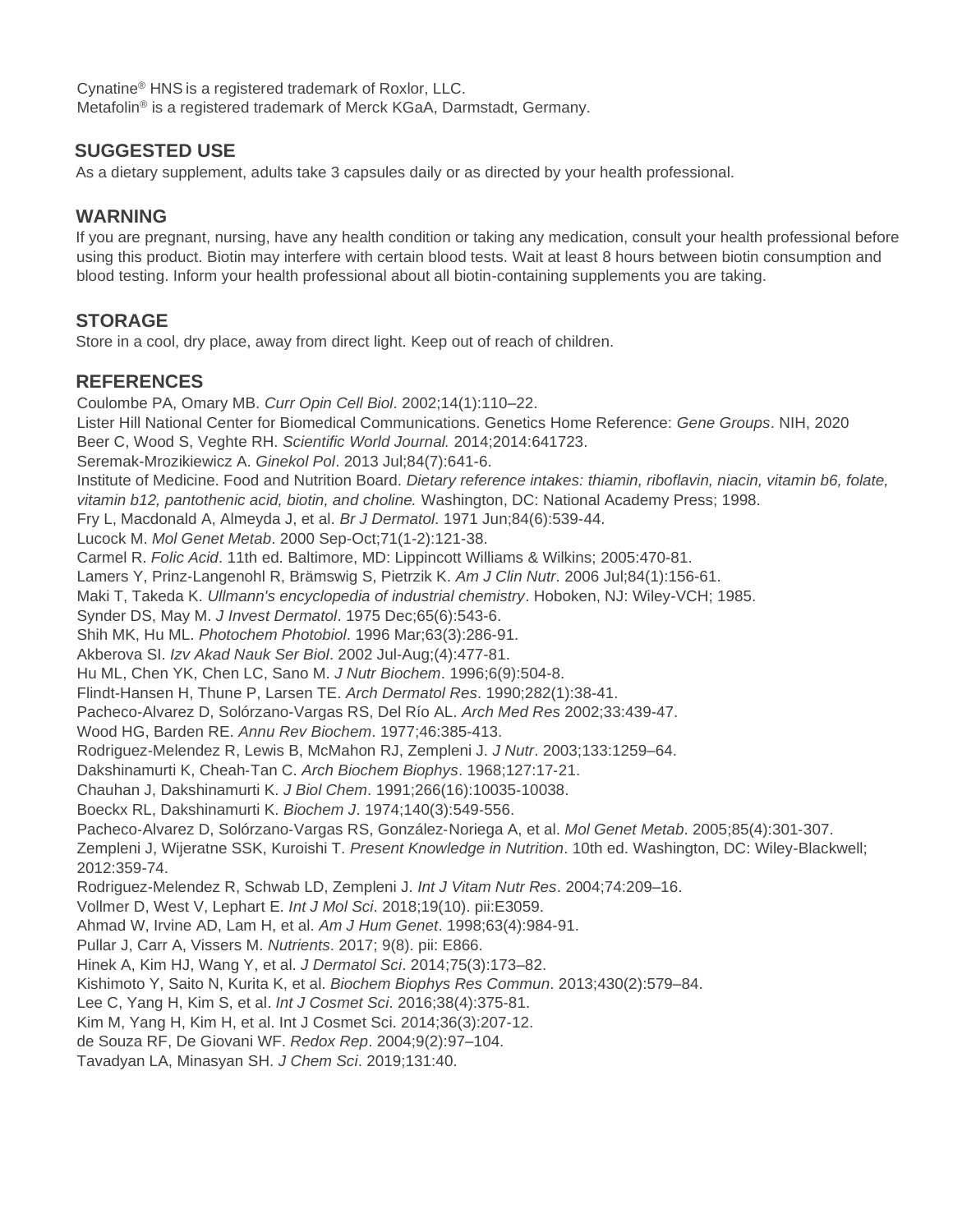Cynatine® HNS is a registered trademark of Roxlor, LLC. Metafolin® is a registered trademark of Merck KGaA, Darmstadt, Germany.

### **SUGGESTED USE**

As a dietary supplement, adults take 3 capsules daily or as directed by your health professional.

### **WARNING**

If you are pregnant, nursing, have any health condition or taking any medication, consult your health professional before using this product. Biotin may interfere with certain blood tests. Wait at least 8 hours between biotin consumption and blood testing. Inform your health professional about all biotin-containing supplements you are taking.

## **STORAGE**

Store in a cool, dry place, away from direct light. Keep out of reach of children.

## **REFERENCES**

Coulombe PA, Omary MB. *Curr Opin Cell Biol*. 2002;14(1):110–22. Lister Hill National Center for Biomedical Communications. Genetics Home Reference: *Gene Groups*. NIH, 2020 Beer C, Wood S, Veghte RH. *Scientific World Journal.* 2014;2014:641723. Seremak-Mrozikiewicz A. *Ginekol Pol*. 2013 Jul;84(7):641-6. Institute of Medicine. Food and Nutrition Board. *Dietary reference intakes: thiamin, riboflavin, niacin, vitamin b6, folate, vitamin b12, pantothenic acid, biotin, and choline.* Washington, DC: National Academy Press; 1998. Fry L, Macdonald A, Almeyda J, et al. *Br J Dermatol*. 1971 Jun;84(6):539-44. Lucock M. *Mol Genet Metab*. 2000 Sep-Oct;71(1-2):121-38. Carmel R. *Folic Acid*. 11th ed. Baltimore, MD: Lippincott Williams & Wilkins; 2005:470-81. Lamers Y, Prinz-Langenohl R, Brämswig S, Pietrzik K. *Am J Clin Nutr*. 2006 Jul;84(1):156-61. Maki T, Takeda K. *Ullmann's encyclopedia of industrial chemistry*. Hoboken, NJ: Wiley-VCH; 1985. Synder DS, May M. *J Invest Dermatol*. 1975 Dec;65(6):543-6. Shih MK, Hu ML. *Photochem Photobiol*. 1996 Mar;63(3):286-91. Akberova SI. *Izv Akad Nauk Ser Biol*. 2002 Jul-Aug;(4):477-81. Hu ML, Chen YK, Chen LC, Sano M. *J Nutr Biochem*. 1996;6(9):504-8. Flindt-Hansen H, Thune P, Larsen TE. *Arch Dermatol Res*. 1990;282(1):38-41. Pacheco-Alvarez D, Solórzano-Vargas RS, Del Río AL. *Arch Med Res* 2002;33:439-47. Wood HG, Barden RE. *Annu Rev Biochem*. 1977;46:385-413. Rodriguez-Melendez R, Lewis B, McMahon RJ, Zempleni J. *J Nutr*. 2003;133:1259–64. Dakshinamurti K, Cheah‐Tan C. *Arch Biochem Biophys*. 1968;127:17‐21. Chauhan J, Dakshinamurti K. *J Biol Chem*. 1991;266(16):10035‐10038. Boeckx RL, Dakshinamurti K. *Biochem J*. 1974;140(3):549‐556. Pacheco‐Alvarez D, Solórzano‐Vargas RS, González‐Noriega A, et al. *Mol Genet Metab*. 2005;85(4):301‐307. Zempleni J, Wijeratne SSK, Kuroishi T. *Present Knowledge in Nutrition*. 10th ed. Washington, DC: Wiley-Blackwell; 2012:359-74. Rodriguez-Melendez R, Schwab LD, Zempleni J. *Int J Vitam Nutr Res*. 2004;74:209–16. Vollmer D, West V, Lephart E. *Int J Mol Sci*. 2018;19(10). pii:E3059. Ahmad W, Irvine AD, Lam H, et al. *Am J Hum Genet*. 1998;63(4):984-91. Pullar J, Carr A, Vissers M. *Nutrients*. 2017; 9(8). pii: E866. Hinek A, Kim HJ, Wang Y, et al. *J Dermatol Sci*. 2014;75(3):173–82. Kishimoto Y, Saito N, Kurita K, et al. *Biochem Biophys Res Commun*. 2013;430(2):579–84. Lee C, Yang H, Kim S, et al. *Int J Cosmet Sci*. 2016;38(4):375-81. Kim M, Yang H, Kim H, et al. Int J Cosmet Sci. 2014;36(3):207-12. de Souza RF, De Giovani WF. *Redox Rep*. 2004;9(2):97–104.

Tavadyan LA, Minasyan SH. *J Chem Sci*. 2019;131:40.